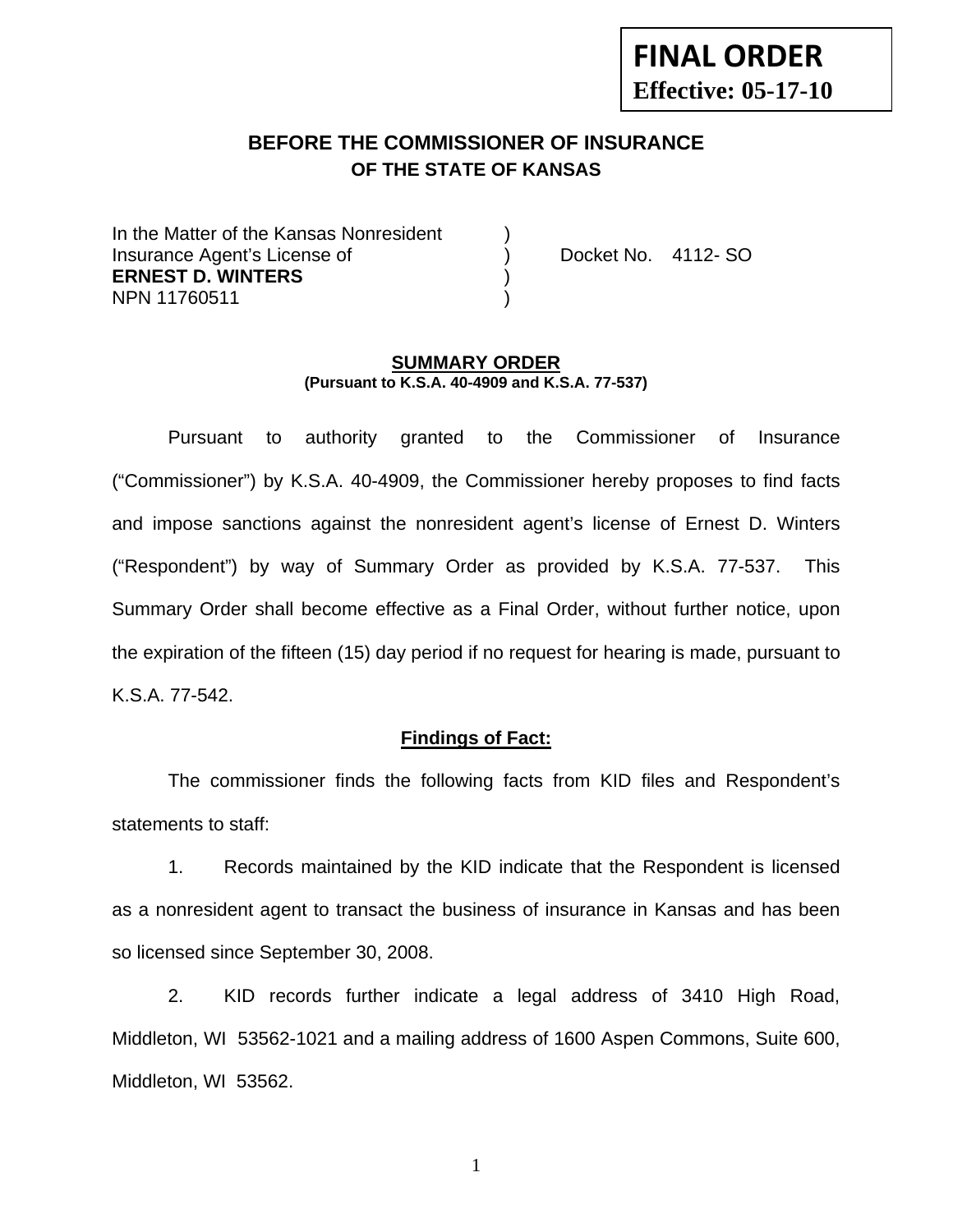# **FINAL ORDER Effective: 05-17-10**

# **BEFORE THE COMMISSIONER OF INSURANCE OF THE STATE OF KANSAS**

In the Matter of the Kansas Nonresident Insurance Agent's License of ) Docket No. 4112- SO **ERNEST D. WINTERS** ) NPN 11760511 )

#### **SUMMARY ORDER (Pursuant to K.S.A. 40-4909 and K.S.A. 77-537)**

 Pursuant to authority granted to the Commissioner of Insurance ("Commissioner") by K.S.A. 40-4909, the Commissioner hereby proposes to find facts and impose sanctions against the nonresident agent's license of Ernest D. Winters ("Respondent") by way of Summary Order as provided by K.S.A. 77-537. This Summary Order shall become effective as a Final Order, without further notice, upon the expiration of the fifteen (15) day period if no request for hearing is made, pursuant to K.S.A. 77-542.

### **Findings of Fact:**

 The commissioner finds the following facts from KID files and Respondent's statements to staff:

 1. Records maintained by the KID indicate that the Respondent is licensed as a nonresident agent to transact the business of insurance in Kansas and has been so licensed since September 30, 2008.

 2. KID records further indicate a legal address of 3410 High Road, Middleton, WI 53562-1021 and a mailing address of 1600 Aspen Commons, Suite 600, Middleton, WI 53562.

1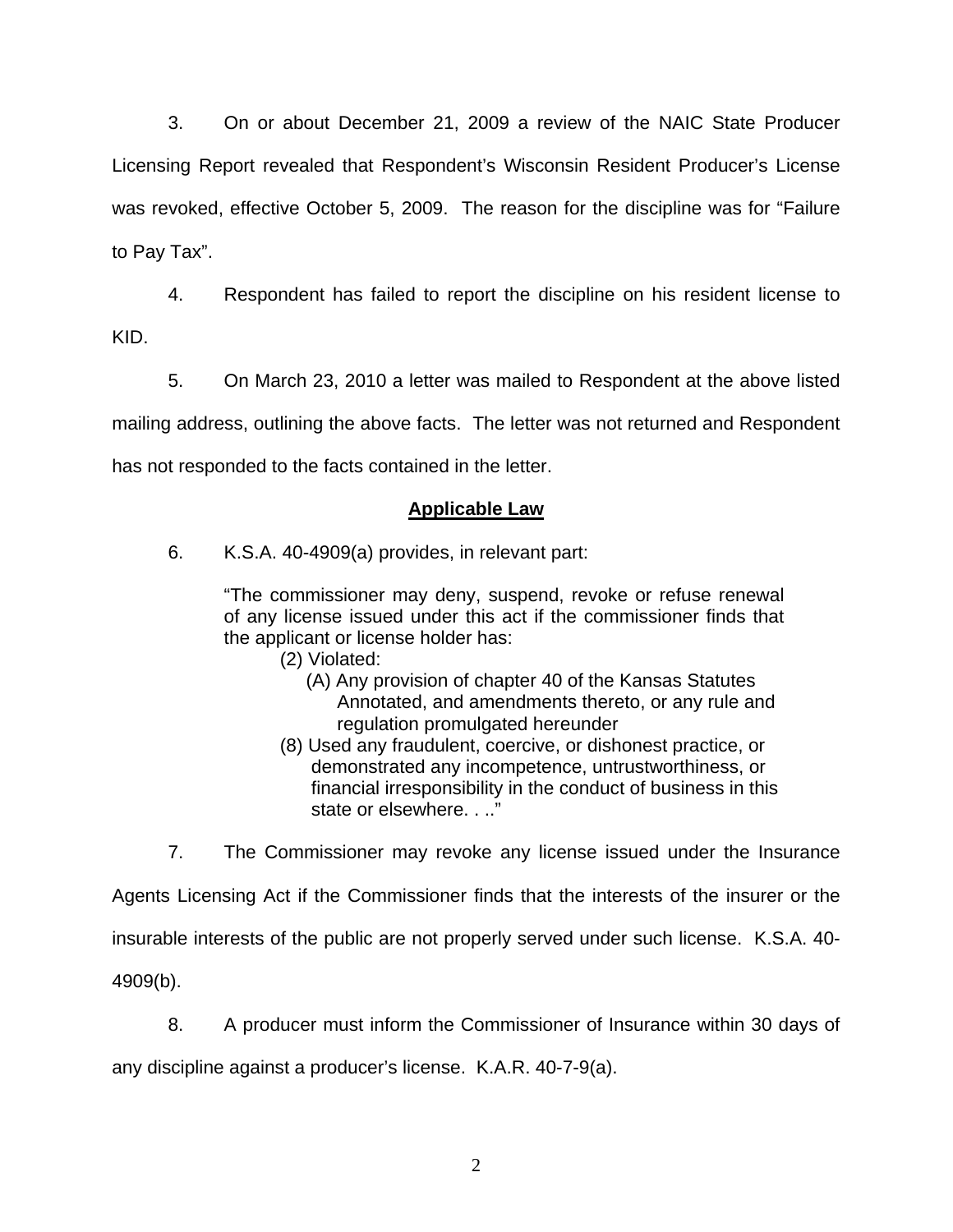3. On or about December 21, 2009 a review of the NAIC State Producer Licensing Report revealed that Respondent's Wisconsin Resident Producer's License was revoked, effective October 5, 2009. The reason for the discipline was for "Failure to Pay Tax".

4. Respondent has failed to report the discipline on his resident license to

KID.

 5. On March 23, 2010 a letter was mailed to Respondent at the above listed mailing address, outlining the above facts. The letter was not returned and Respondent has not responded to the facts contained in the letter.

## **Applicable Law**

6. K.S.A. 40-4909(a) provides, in relevant part:

"The commissioner may deny, suspend, revoke or refuse renewal of any license issued under this act if the commissioner finds that the applicant or license holder has:

- (2) Violated:
	- (A) Any provision of chapter 40 of the Kansas Statutes Annotated, and amendments thereto, or any rule and regulation promulgated hereunder
- (8) Used any fraudulent, coercive, or dishonest practice, or demonstrated any incompetence, untrustworthiness, or financial irresponsibility in the conduct of business in this state or elsewhere. . .."

 7. The Commissioner may revoke any license issued under the Insurance Agents Licensing Act if the Commissioner finds that the interests of the insurer or the insurable interests of the public are not properly served under such license. K.S.A. 40- 4909(b).

 8. A producer must inform the Commissioner of Insurance within 30 days of any discipline against a producer's license. K.A.R. 40-7-9(a).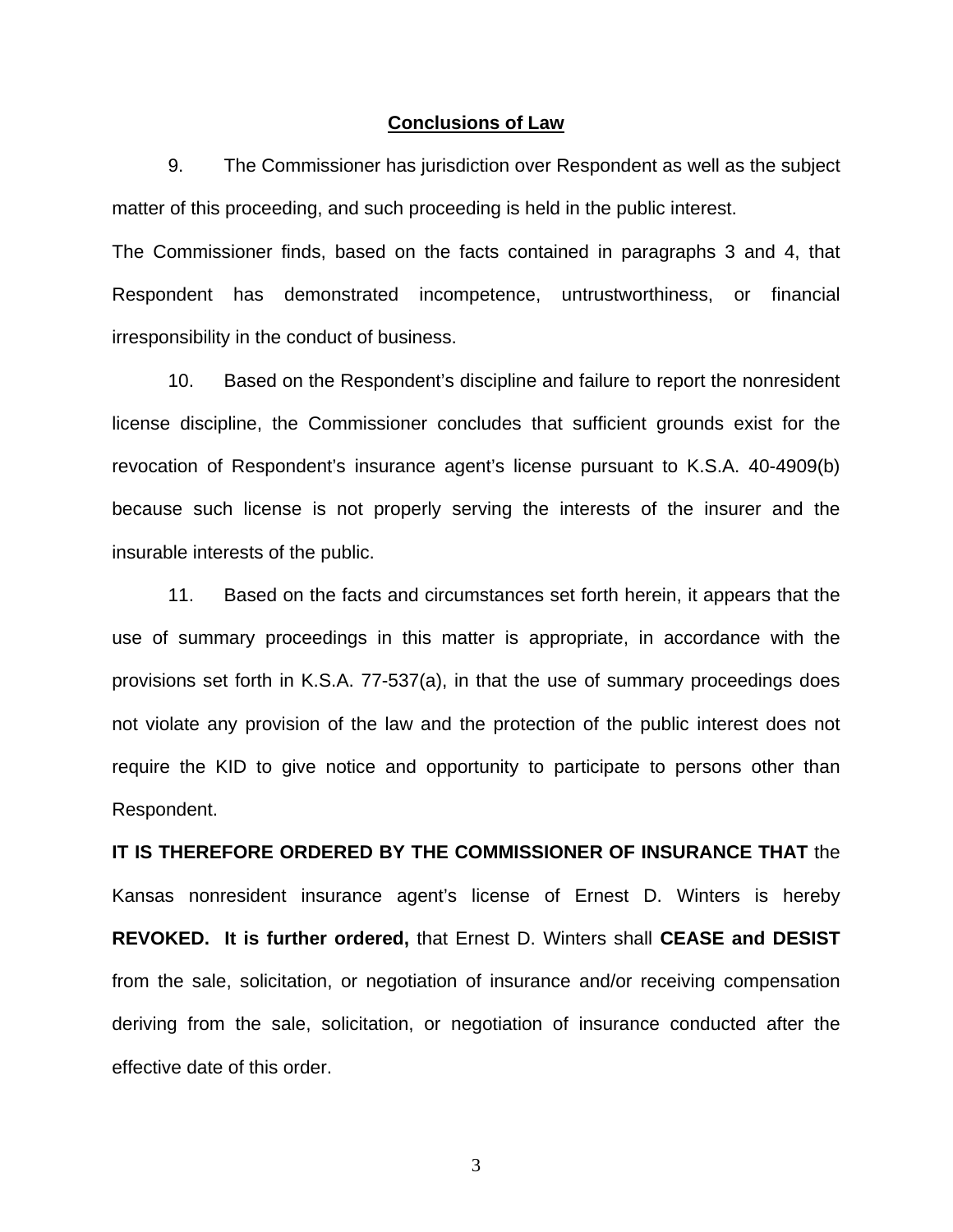#### **Conclusions of Law**

 9. The Commissioner has jurisdiction over Respondent as well as the subject matter of this proceeding, and such proceeding is held in the public interest.

The Commissioner finds, based on the facts contained in paragraphs 3 and 4, that Respondent has demonstrated incompetence, untrustworthiness, or financial irresponsibility in the conduct of business.

 10. Based on the Respondent's discipline and failure to report the nonresident license discipline, the Commissioner concludes that sufficient grounds exist for the revocation of Respondent's insurance agent's license pursuant to K.S.A. 40-4909(b) because such license is not properly serving the interests of the insurer and the insurable interests of the public.

 11. Based on the facts and circumstances set forth herein, it appears that the use of summary proceedings in this matter is appropriate, in accordance with the provisions set forth in K.S.A. 77-537(a), in that the use of summary proceedings does not violate any provision of the law and the protection of the public interest does not require the KID to give notice and opportunity to participate to persons other than Respondent.

**IT IS THEREFORE ORDERED BY THE COMMISSIONER OF INSURANCE THAT** the Kansas nonresident insurance agent's license of Ernest D. Winters is hereby **REVOKED. It is further ordered,** that Ernest D. Winters shall **CEASE and DESIST** from the sale, solicitation, or negotiation of insurance and/or receiving compensation deriving from the sale, solicitation, or negotiation of insurance conducted after the effective date of this order.

3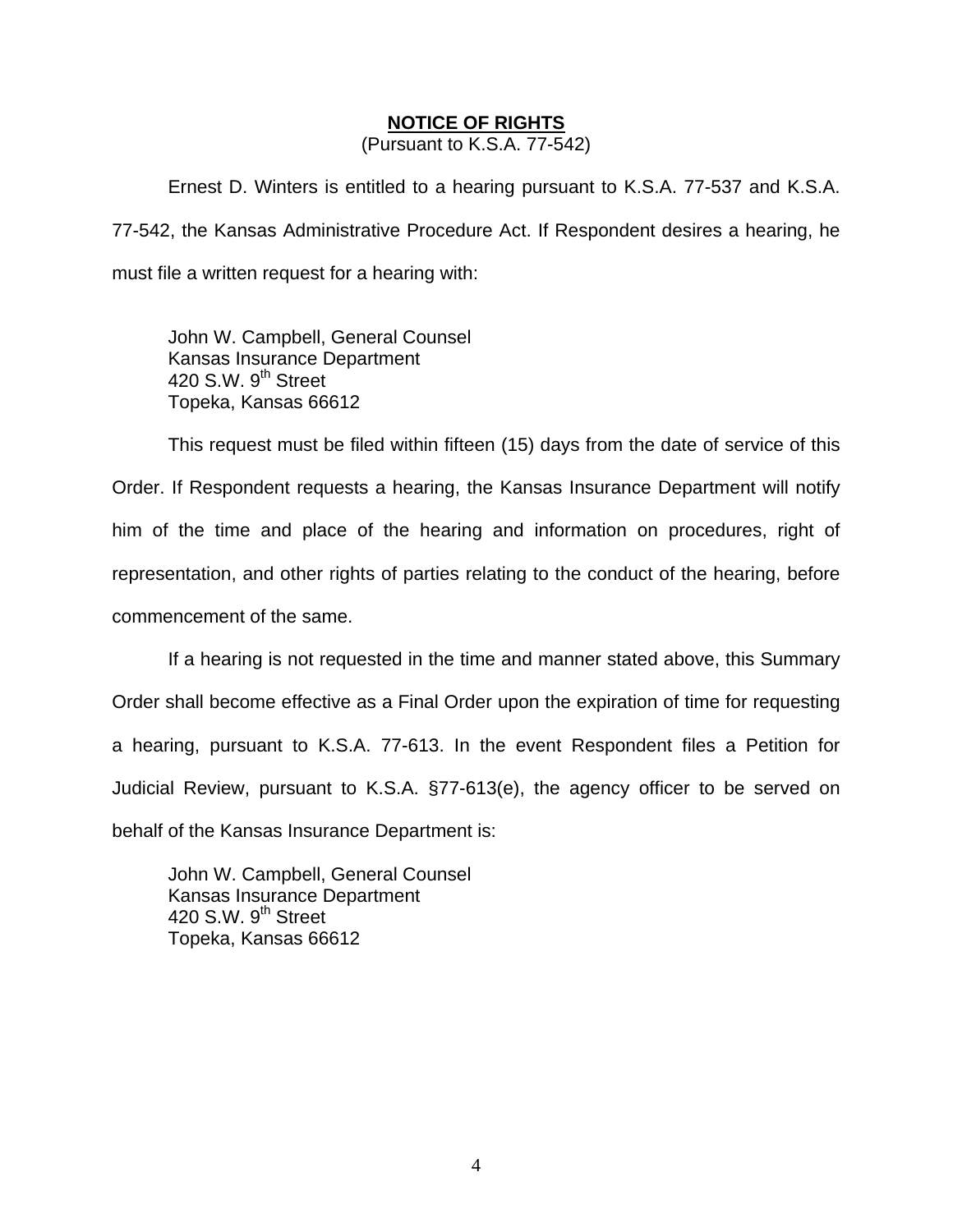### **NOTICE OF RIGHTS**

(Pursuant to K.S.A. 77-542)

Ernest D. Winters is entitled to a hearing pursuant to K.S.A. 77-537 and K.S.A. 77-542, the Kansas Administrative Procedure Act. If Respondent desires a hearing, he must file a written request for a hearing with:

 John W. Campbell, General Counsel Kansas Insurance Department 420 S.W. 9<sup>th</sup> Street Topeka, Kansas 66612

This request must be filed within fifteen (15) days from the date of service of this Order. If Respondent requests a hearing, the Kansas Insurance Department will notify him of the time and place of the hearing and information on procedures, right of representation, and other rights of parties relating to the conduct of the hearing, before commencement of the same.

If a hearing is not requested in the time and manner stated above, this Summary Order shall become effective as a Final Order upon the expiration of time for requesting a hearing, pursuant to K.S.A. 77-613. In the event Respondent files a Petition for Judicial Review, pursuant to K.S.A. §77-613(e), the agency officer to be served on behalf of the Kansas Insurance Department is:

 John W. Campbell, General Counsel Kansas Insurance Department 420 S.W.  $9<sup>th</sup>$  Street Topeka, Kansas 66612